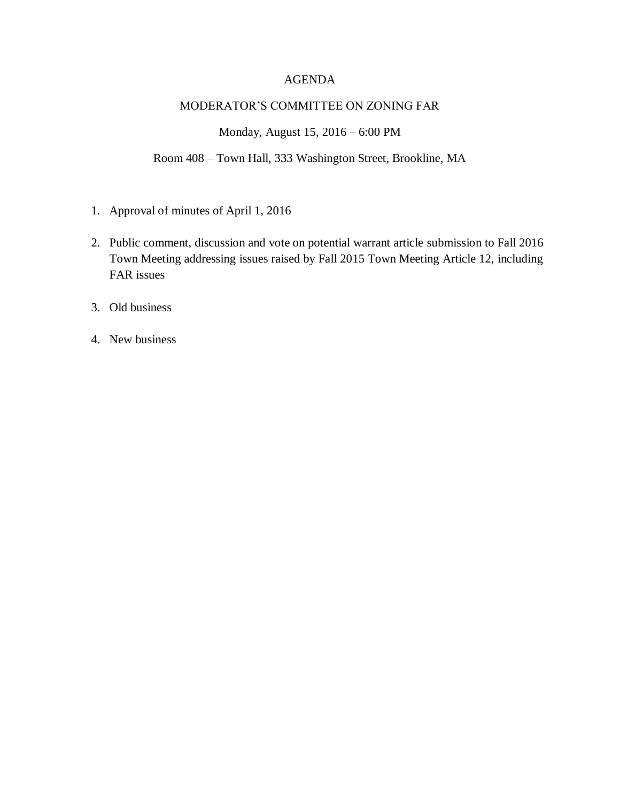### AGENDA

#### MODERATOR'S COMMITTEE ON ZONING FAR

Monday, August 15, 2016 – 6:00 PM

Room 408 – Town Hall, 333 Washington Street, Brookline, MA

- 1. Approval of minutes of April 1, 2016
- 2. Public comment, discussion and vote on potential warrant article submission to Fall 2016 Town Meeting addressing issues raised by Fall 2015 Town Meeting Article 12, including FAR issues
- 3. Old business
- 4. New business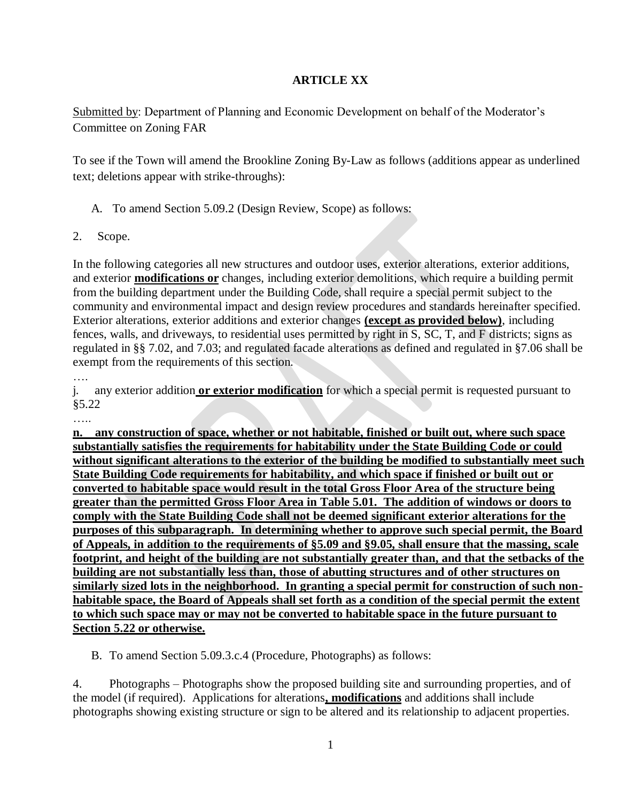# **ARTICLE XX**

Submitted by: Department of Planning and Economic Development on behalf of the Moderator's Committee on Zoning FAR

To see if the Town will amend the Brookline Zoning By-Law as follows (additions appear as underlined text; deletions appear with strike-throughs):

- A. To amend Section 5.09.2 (Design Review, Scope) as follows:
- 2. Scope.

In the following categories all new structures and outdoor uses, exterior alterations, exterior additions, and exterior **modifications or** changes, including exterior demolitions, which require a building permit from the building department under the Building Code, shall require a special permit subject to the community and environmental impact and design review procedures and standards hereinafter specified. Exterior alterations, exterior additions and exterior changes **(except as provided below)**, including fences, walls, and driveways, to residential uses permitted by right in S, SC, T, and F districts; signs as regulated in §§ 7.02, and 7.03; and regulated facade alterations as defined and regulated in §7.06 shall be exempt from the requirements of this section.

….

j. any exterior addition **or exterior modification** for which a special permit is requested pursuant to §5.22

……

**n. any construction of space, whether or not habitable, finished or built out, where such space substantially satisfies the requirements for habitability under the State Building Code or could without significant alterations to the exterior of the building be modified to substantially meet such State Building Code requirements for habitability, and which space if finished or built out or converted to habitable space would result in the total Gross Floor Area of the structure being greater than the permitted Gross Floor Area in Table 5.01. The addition of windows or doors to comply with the State Building Code shall not be deemed significant exterior alterations for the purposes of this subparagraph. In determining whether to approve such special permit, the Board of Appeals, in addition to the requirements of §5.09 and §9.05, shall ensure that the massing, scale footprint, and height of the building are not substantially greater than, and that the setbacks of the building are not substantially less than, those of abutting structures and of other structures on similarly sized lots in the neighborhood. In granting a special permit for construction of such nonhabitable space, the Board of Appeals shall set forth as a condition of the special permit the extent to which such space may or may not be converted to habitable space in the future pursuant to Section 5.22 or otherwise.** 

B. To amend Section 5.09.3.c.4 (Procedure, Photographs) as follows:

4. Photographs – Photographs show the proposed building site and surrounding properties, and of the model (if required). Applications for alterations**, modifications** and additions shall include photographs showing existing structure or sign to be altered and its relationship to adjacent properties.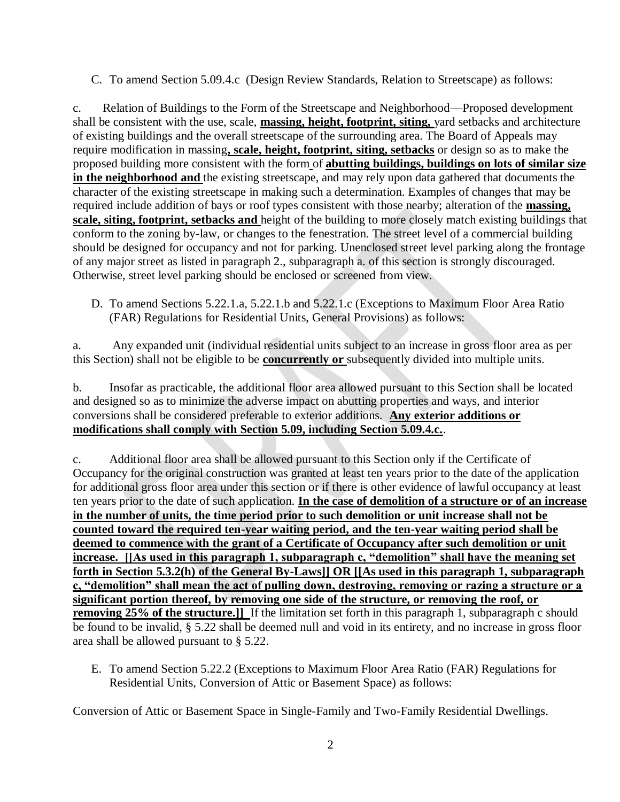C. To amend Section 5.09.4.c (Design Review Standards, Relation to Streetscape) as follows:

c. Relation of Buildings to the Form of the Streetscape and Neighborhood—Proposed development shall be consistent with the use, scale, **massing, height, footprint, siting,** yard setbacks and architecture of existing buildings and the overall streetscape of the surrounding area. The Board of Appeals may require modification in massing**, scale, height, footprint, siting, setbacks** or design so as to make the proposed building more consistent with the form of **abutting buildings, buildings on lots of similar size in the neighborhood and** the existing streetscape, and may rely upon data gathered that documents the character of the existing streetscape in making such a determination. Examples of changes that may be required include addition of bays or roof types consistent with those nearby; alteration of the **massing, scale, siting, footprint, setbacks and** height of the building to more closely match existing buildings that conform to the zoning by-law, or changes to the fenestration. The street level of a commercial building should be designed for occupancy and not for parking. Unenclosed street level parking along the frontage of any major street as listed in paragraph 2., subparagraph a. of this section is strongly discouraged. Otherwise, street level parking should be enclosed or screened from view.

D. To amend Sections 5.22.1.a, 5.22.1.b and 5.22.1.c (Exceptions to Maximum Floor Area Ratio (FAR) Regulations for Residential Units, General Provisions) as follows:

a. Any expanded unit (individual residential units subject to an increase in gross floor area as per this Section) shall not be eligible to be **concurrently or** subsequently divided into multiple units.

b. Insofar as practicable, the additional floor area allowed pursuant to this Section shall be located and designed so as to minimize the adverse impact on abutting properties and ways, and interior conversions shall be considered preferable to exterior additions. **Any exterior additions or modifications shall comply with Section 5.09, including Section 5.09.4.c.**.

c. Additional floor area shall be allowed pursuant to this Section only if the Certificate of Occupancy for the original construction was granted at least ten years prior to the date of the application for additional gross floor area under this section or if there is other evidence of lawful occupancy at least ten years prior to the date of such application. **In the case of demolition of a structure or of an increase in the number of units, the time period prior to such demolition or unit increase shall not be counted toward the required ten-year waiting period, and the ten-year waiting period shall be deemed to commence with the grant of a Certificate of Occupancy after such demolition or unit increase. [[As used in this paragraph 1, subparagraph c, "demolition" shall have the meaning set forth in Section 5.3.2(h) of the General By-Laws]] OR [[As used in this paragraph 1, subparagraph c, "demolition" shall mean the act of pulling down, destroying, removing or razing a structure or a significant portion thereof, by removing one side of the structure, or removing the roof, or removing 25% of the structure.**]] If the limitation set forth in this paragraph 1, subparagraph c should be found to be invalid, § 5.22 shall be deemed null and void in its entirety, and no increase in gross floor area shall be allowed pursuant to § 5.22.

E. To amend Section 5.22.2 (Exceptions to Maximum Floor Area Ratio (FAR) Regulations for Residential Units, Conversion of Attic or Basement Space) as follows:

Conversion of Attic or Basement Space in Single-Family and Two-Family Residential Dwellings.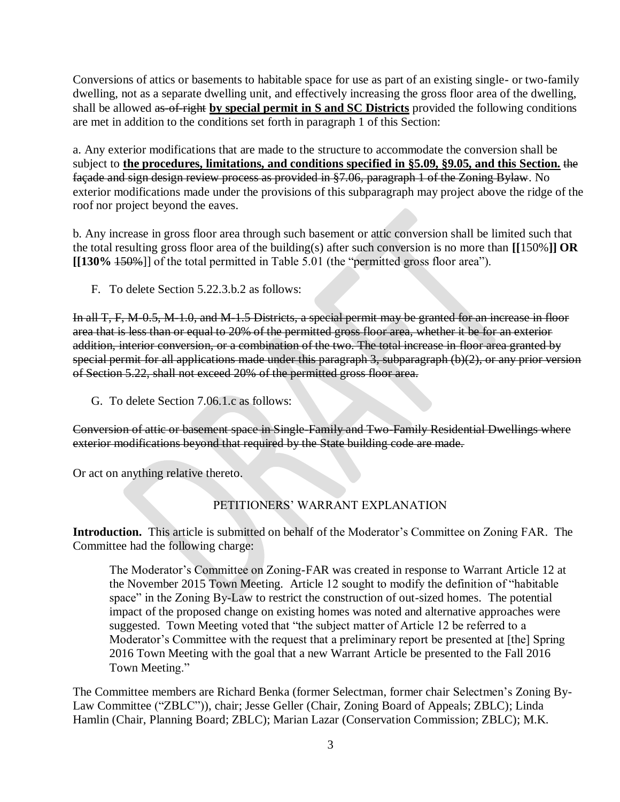Conversions of attics or basements to habitable space for use as part of an existing single- or two-family dwelling, not as a separate dwelling unit, and effectively increasing the gross floor area of the dwelling, shall be allowed as-of-right **by special permit in S and SC Districts** provided the following conditions are met in addition to the conditions set forth in paragraph 1 of this Section:

a. Any exterior modifications that are made to the structure to accommodate the conversion shall be subject to **the procedures, limitations, and conditions specified in §5.09, §9.05, and this Section.** the façade and sign design review process as provided in §7.06, paragraph 1 of the Zoning Bylaw. No exterior modifications made under the provisions of this subparagraph may project above the ridge of the roof nor project beyond the eaves.

b. Any increase in gross floor area through such basement or attic conversion shall be limited such that the total resulting gross floor area of the building(s) after such conversion is no more than **[[**150%**]] OR [[130%** 150%]] of the total permitted in Table 5.01 (the "permitted gross floor area").

F. To delete Section 5.22.3.b.2 as follows:

In all T, F, M-0.5, M-1.0, and M-1.5 Districts, a special permit may be granted for an increase in floor area that is less than or equal to 20% of the permitted gross floor area, whether it be for an exterior addition, interior conversion, or a combination of the two. The total increase in floor area granted by special permit for all applications made under this paragraph 3, subparagraph (b)(2), or any prior version of Section 5.22, shall not exceed 20% of the permitted gross floor area.

G. To delete Section 7.06.1.c as follows:

Conversion of attic or basement space in Single-Family and Two-Family Residential Dwellings where exterior modifications beyond that required by the State building code are made.

Or act on anything relative thereto.

# PETITIONERS' WARRANT EXPLANATION

**Introduction.** This article is submitted on behalf of the Moderator's Committee on Zoning FAR. The Committee had the following charge:

The Moderator's Committee on Zoning-FAR was created in response to Warrant Article 12 at the November 2015 Town Meeting. Article 12 sought to modify the definition of "habitable space" in the Zoning By-Law to restrict the construction of out-sized homes. The potential impact of the proposed change on existing homes was noted and alternative approaches were suggested. Town Meeting voted that "the subject matter of Article 12 be referred to a Moderator's Committee with the request that a preliminary report be presented at [the] Spring 2016 Town Meeting with the goal that a new Warrant Article be presented to the Fall 2016 Town Meeting."

The Committee members are Richard Benka (former Selectman, former chair Selectmen's Zoning By-Law Committee ("ZBLC")), chair; Jesse Geller (Chair, Zoning Board of Appeals; ZBLC); Linda Hamlin (Chair, Planning Board; ZBLC); Marian Lazar (Conservation Commission; ZBLC); M.K.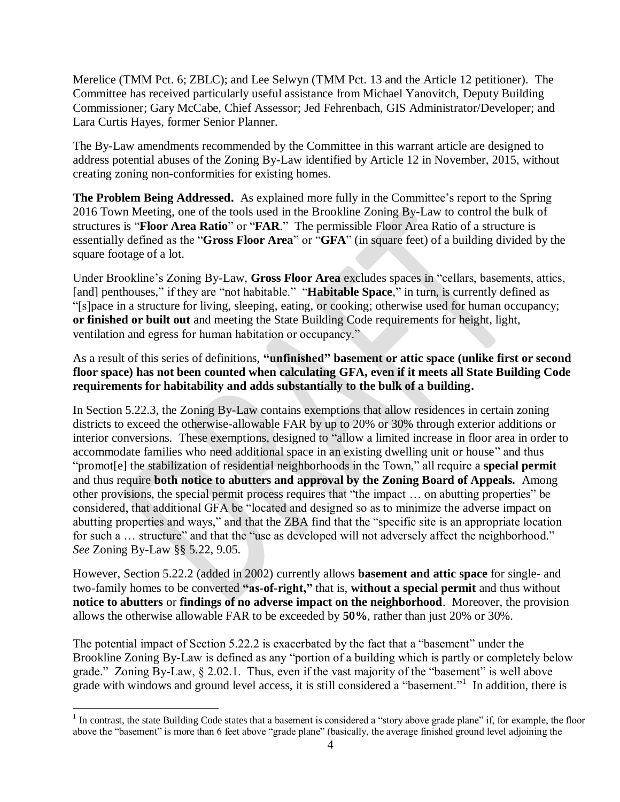Merelice (TMM Pct. 6; ZBLC); and Lee Selwyn (TMM Pct. 13 and the Article 12 petitioner). The Committee has received particularly useful assistance from Michael Yanovitch, Deputy Building Commissioner; Gary McCabe, Chief Assessor; Jed Fehrenbach, GIS Administrator/Developer; and Lara Curtis Hayes, former Senior Planner.

The By-Law amendments recommended by the Committee in this warrant article are designed to address potential abuses of the Zoning By-Law identified by Article 12 in November, 2015, without creating zoning non-conformities for existing homes.

**The Problem Being Addressed.** As explained more fully in the Committee's report to the Spring 2016 Town Meeting, one of the tools used in the Brookline Zoning By-Law to control the bulk of structures is "**Floor Area Ratio**" or "**FAR**." The permissible Floor Area Ratio of a structure is essentially defined as the "**Gross Floor Area**" or "**GFA**" (in square feet) of a building divided by the square footage of a lot.

Under Brookline's Zoning By-Law, **Gross Floor Area** excludes spaces in "cellars, basements, attics, [and] penthouses," if they are "not habitable." "**Habitable Space**," in turn, is currently defined as "[s]pace in a structure for living, sleeping, eating, or cooking; otherwise used for human occupancy; **or finished or built out** and meeting the State Building Code requirements for height, light, ventilation and egress for human habitation or occupancy."

# As a result of this series of definitions, **"unfinished" basement or attic space (unlike first or second floor space) has not been counted when calculating GFA, even if it meets all State Building Code requirements for habitability and adds substantially to the bulk of a building.**

In Section 5.22.3, the Zoning By-Law contains exemptions that allow residences in certain zoning districts to exceed the otherwise-allowable FAR by up to 20% or 30% through exterior additions or interior conversions. These exemptions, designed to "allow a limited increase in floor area in order to accommodate families who need additional space in an existing dwelling unit or house" and thus "promot[e] the stabilization of residential neighborhoods in the Town," all require a **special permit** and thus require **both notice to abutters and approval by the Zoning Board of Appeals.** Among other provisions, the special permit process requires that "the impact … on abutting properties" be considered, that additional GFA be "located and designed so as to minimize the adverse impact on abutting properties and ways," and that the ZBA find that the "specific site is an appropriate location for such a ... structure" and that the "use as developed will not adversely affect the neighborhood." *See* Zoning By-Law §§ 5.22, 9.05.

However, Section 5.22.2 (added in 2002) currently allows **basement and attic space** for single- and two-family homes to be converted **"as-of-right,"** that is, **without a special permit** and thus without **notice to abutters** or **findings of no adverse impact on the neighborhood**. Moreover, the provision allows the otherwise allowable FAR to be exceeded by **50%**, rather than just 20% or 30%.

The potential impact of Section 5.22.2 is exacerbated by the fact that a "basement" under the Brookline Zoning By-Law is defined as any "portion of a building which is partly or completely below grade." Zoning By-Law, § 2.02.1. Thus, even if the vast majority of the "basement" is well above grade with windows and ground level access, it is still considered a "basement."<sup>1</sup> In addition, there is

 $\overline{a}$ 

 $<sup>1</sup>$  In contrast, the state Building Code states that a basement is considered a "story above grade plane" if, for example, the floor</sup> above the "basement" is more than 6 feet above "grade plane" (basically, the average finished ground level adjoining the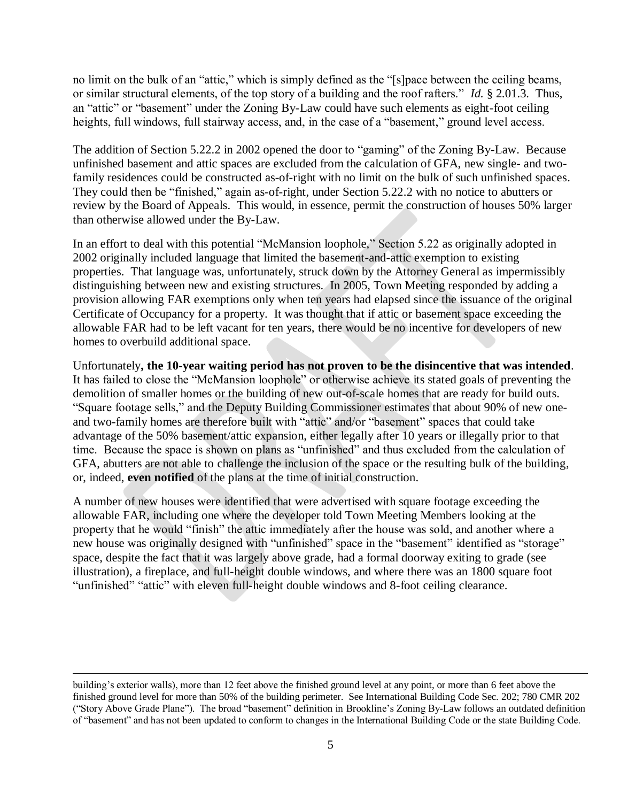no limit on the bulk of an "attic," which is simply defined as the "[s]pace between the ceiling beams, or similar structural elements, of the top story of a building and the roof rafters." *Id.* § 2.01.3. Thus, an "attic" or "basement" under the Zoning By-Law could have such elements as eight-foot ceiling heights, full windows, full stairway access, and, in the case of a "basement," ground level access.

The addition of Section 5.22.2 in 2002 opened the door to "gaming" of the Zoning By-Law. Because unfinished basement and attic spaces are excluded from the calculation of GFA, new single- and twofamily residences could be constructed as-of-right with no limit on the bulk of such unfinished spaces. They could then be "finished," again as-of-right, under Section 5.22.2 with no notice to abutters or review by the Board of Appeals. This would, in essence, permit the construction of houses 50% larger than otherwise allowed under the By-Law.

In an effort to deal with this potential "McMansion loophole," Section 5.22 as originally adopted in 2002 originally included language that limited the basement-and-attic exemption to existing properties. That language was, unfortunately, struck down by the Attorney General as impermissibly distinguishing between new and existing structures. In 2005, Town Meeting responded by adding a provision allowing FAR exemptions only when ten years had elapsed since the issuance of the original Certificate of Occupancy for a property. It was thought that if attic or basement space exceeding the allowable FAR had to be left vacant for ten years, there would be no incentive for developers of new homes to overbuild additional space.

Unfortunately**, the 10-year waiting period has not proven to be the disincentive that was intended**. It has failed to close the "McMansion loophole" or otherwise achieve its stated goals of preventing the demolition of smaller homes or the building of new out-of-scale homes that are ready for build outs. "Square footage sells," and the Deputy Building Commissioner estimates that about 90% of new oneand two-family homes are therefore built with "attic" and/or "basement" spaces that could take advantage of the 50% basement/attic expansion, either legally after 10 years or illegally prior to that time. Because the space is shown on plans as "unfinished" and thus excluded from the calculation of GFA, abutters are not able to challenge the inclusion of the space or the resulting bulk of the building, or, indeed, **even notified** of the plans at the time of initial construction.

A number of new houses were identified that were advertised with square footage exceeding the allowable FAR, including one where the developer told Town Meeting Members looking at the property that he would "finish" the attic immediately after the house was sold, and another where a new house was originally designed with "unfinished" space in the "basement" identified as "storage" space, despite the fact that it was largely above grade, had a formal doorway exiting to grade (see illustration), a fireplace, and full-height double windows, and where there was an 1800 square foot "unfinished" "attic" with eleven full-height double windows and 8-foot ceiling clearance.

 $\overline{a}$ 

building's exterior walls), more than 12 feet above the finished ground level at any point, or more than 6 feet above the finished ground level for more than 50% of the building perimeter. See International Building Code Sec. 202; 780 CMR 202 ("Story Above Grade Plane"). The broad "basement" definition in Brookline's Zoning By-Law follows an outdated definition of "basement" and has not been updated to conform to changes in the International Building Code or the state Building Code.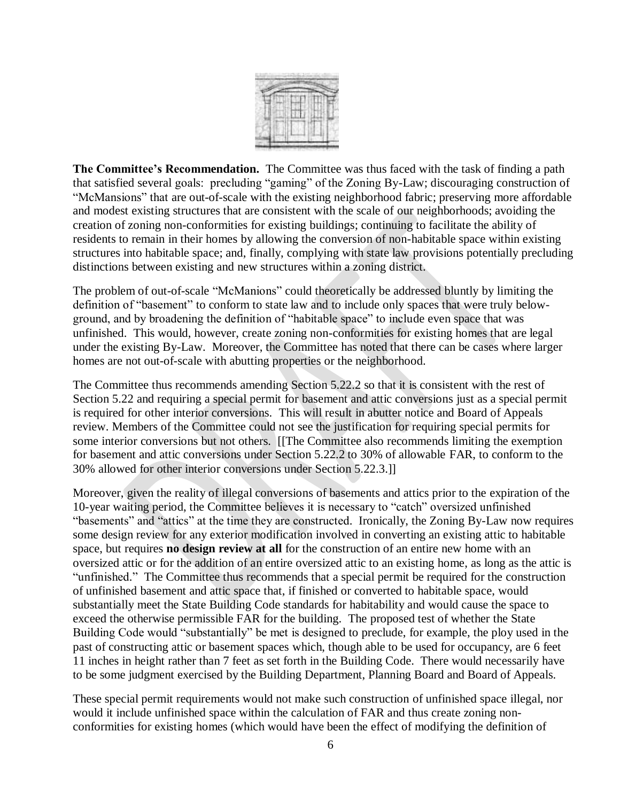

**The Committee's Recommendation.** The Committee was thus faced with the task of finding a path that satisfied several goals: precluding "gaming" of the Zoning By-Law; discouraging construction of "McMansions" that are out-of-scale with the existing neighborhood fabric; preserving more affordable and modest existing structures that are consistent with the scale of our neighborhoods; avoiding the creation of zoning non-conformities for existing buildings; continuing to facilitate the ability of residents to remain in their homes by allowing the conversion of non-habitable space within existing structures into habitable space; and, finally, complying with state law provisions potentially precluding distinctions between existing and new structures within a zoning district.

The problem of out-of-scale "McManions" could theoretically be addressed bluntly by limiting the definition of "basement" to conform to state law and to include only spaces that were truly belowground, and by broadening the definition of "habitable space" to include even space that was unfinished. This would, however, create zoning non-conformities for existing homes that are legal under the existing By-Law. Moreover, the Committee has noted that there can be cases where larger homes are not out-of-scale with abutting properties or the neighborhood.

The Committee thus recommends amending Section 5.22.2 so that it is consistent with the rest of Section 5.22 and requiring a special permit for basement and attic conversions just as a special permit is required for other interior conversions. This will result in abutter notice and Board of Appeals review. Members of the Committee could not see the justification for requiring special permits for some interior conversions but not others. [[The Committee also recommends limiting the exemption for basement and attic conversions under Section 5.22.2 to 30% of allowable FAR, to conform to the 30% allowed for other interior conversions under Section 5.22.3.]]

Moreover, given the reality of illegal conversions of basements and attics prior to the expiration of the 10-year waiting period, the Committee believes it is necessary to "catch" oversized unfinished "basements" and "attics" at the time they are constructed. Ironically, the Zoning By-Law now requires some design review for any exterior modification involved in converting an existing attic to habitable space, but requires **no design review at all** for the construction of an entire new home with an oversized attic or for the addition of an entire oversized attic to an existing home, as long as the attic is "unfinished." The Committee thus recommends that a special permit be required for the construction of unfinished basement and attic space that, if finished or converted to habitable space, would substantially meet the State Building Code standards for habitability and would cause the space to exceed the otherwise permissible FAR for the building. The proposed test of whether the State Building Code would "substantially" be met is designed to preclude, for example, the ploy used in the past of constructing attic or basement spaces which, though able to be used for occupancy, are 6 feet 11 inches in height rather than 7 feet as set forth in the Building Code. There would necessarily have to be some judgment exercised by the Building Department, Planning Board and Board of Appeals.

These special permit requirements would not make such construction of unfinished space illegal, nor would it include unfinished space within the calculation of FAR and thus create zoning nonconformities for existing homes (which would have been the effect of modifying the definition of